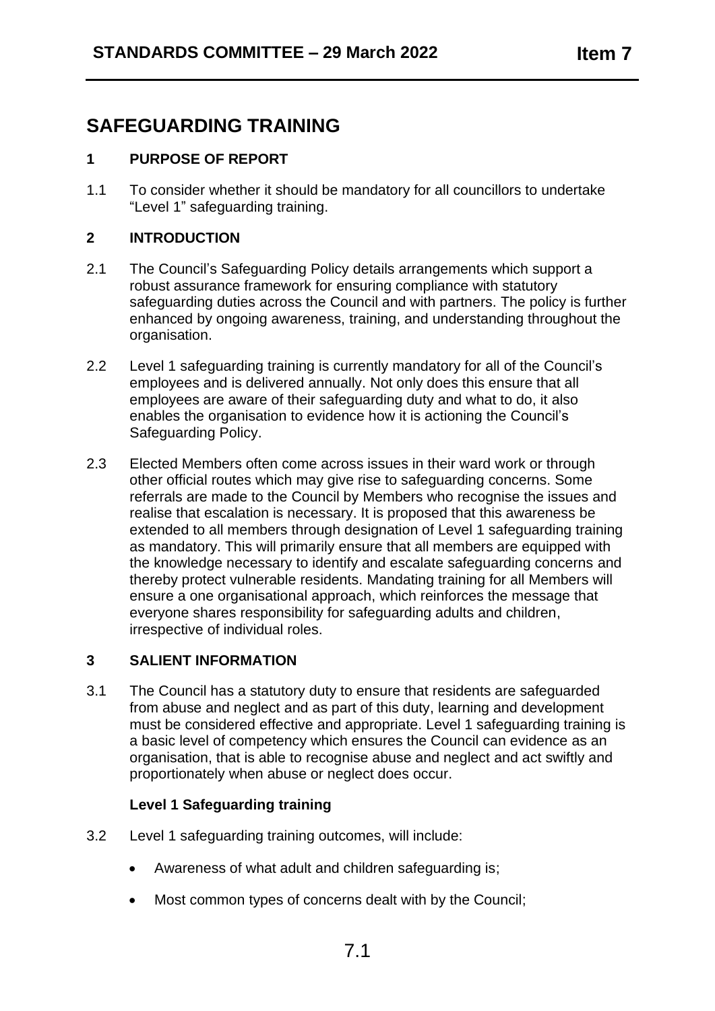# **SAFEGUARDING TRAINING**

# **1 PURPOSE OF REPORT**

1.1 To consider whether it should be mandatory for all councillors to undertake "Level 1" safeguarding training.

## **2 INTRODUCTION**

- 2.1 The Council's Safeguarding Policy details arrangements which support a robust assurance framework for ensuring compliance with statutory safeguarding duties across the Council and with partners. The policy is further enhanced by ongoing awareness, training, and understanding throughout the organisation.
- 2.2 Level 1 safeguarding training is currently mandatory for all of the Council's employees and is delivered annually. Not only does this ensure that all employees are aware of their safeguarding duty and what to do, it also enables the organisation to evidence how it is actioning the Council's Safeguarding Policy.
- 2.3 Elected Members often come across issues in their ward work or through other official routes which may give rise to safeguarding concerns. Some referrals are made to the Council by Members who recognise the issues and realise that escalation is necessary. It is proposed that this awareness be extended to all members through designation of Level 1 safeguarding training as mandatory. This will primarily ensure that all members are equipped with the knowledge necessary to identify and escalate safeguarding concerns and thereby protect vulnerable residents. Mandating training for all Members will ensure a one organisational approach, which reinforces the message that everyone shares responsibility for safeguarding adults and children, irrespective of individual roles.

## **3 SALIENT INFORMATION**

3.1 The Council has a statutory duty to ensure that residents are safeguarded from abuse and neglect and as part of this duty, learning and development must be considered effective and appropriate. Level 1 safeguarding training is a basic level of competency which ensures the Council can evidence as an organisation, that is able to recognise abuse and neglect and act swiftly and proportionately when abuse or neglect does occur.

## **Level 1 Safeguarding training**

- 3.2 Level 1 safeguarding training outcomes, will include:
	- Awareness of what adult and children safeguarding is;
	- Most common types of concerns dealt with by the Council;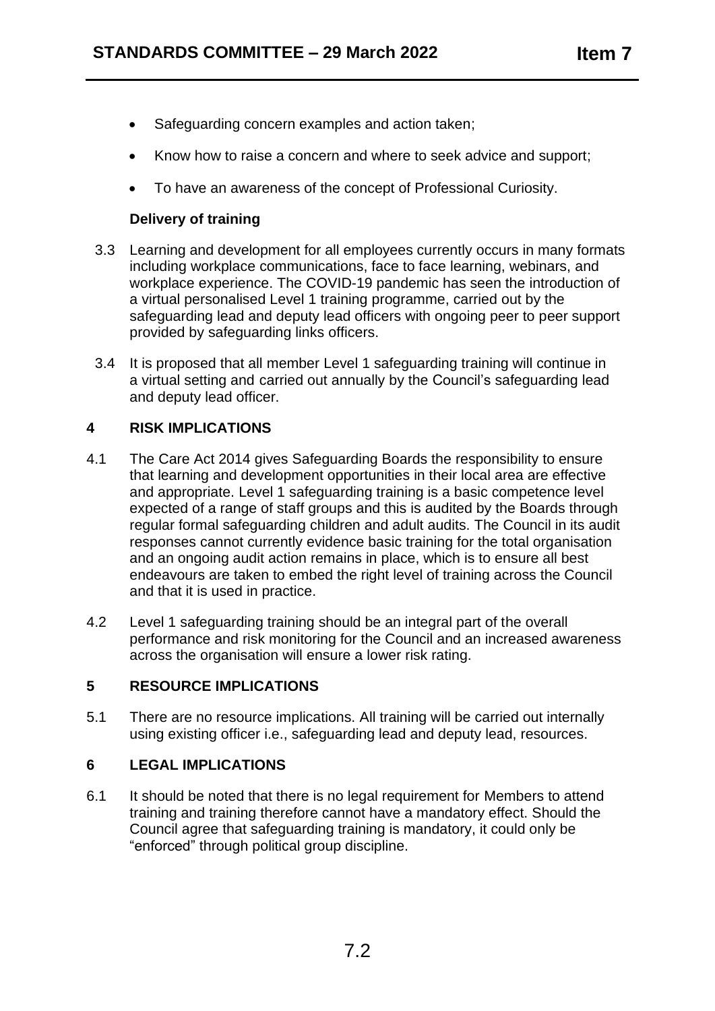- Safeguarding concern examples and action taken;
- Know how to raise a concern and where to seek advice and support;
- To have an awareness of the concept of Professional Curiosity.

# **Delivery of training**

- 3.3 Learning and development for all employees currently occurs in many formats including workplace communications, face to face learning, webinars, and workplace experience. The COVID-19 pandemic has seen the introduction of a virtual personalised Level 1 training programme, carried out by the safeguarding lead and deputy lead officers with ongoing peer to peer support provided by safeguarding links officers.
- 3.4 It is proposed that all member Level 1 safeguarding training will continue in a virtual setting and carried out annually by the Council's safeguarding lead and deputy lead officer.

# **4 RISK IMPLICATIONS**

- 4.1 The Care Act 2014 gives Safeguarding Boards the responsibility to ensure that learning and development opportunities in their local area are effective and appropriate. Level 1 safeguarding training is a basic competence level expected of a range of staff groups and this is audited by the Boards through regular formal safeguarding children and adult audits. The Council in its audit responses cannot currently evidence basic training for the total organisation and an ongoing audit action remains in place, which is to ensure all best endeavours are taken to embed the right level of training across the Council and that it is used in practice.
- 4.2 Level 1 safeguarding training should be an integral part of the overall performance and risk monitoring for the Council and an increased awareness across the organisation will ensure a lower risk rating.

## **5 RESOURCE IMPLICATIONS**

5.1 There are no resource implications. All training will be carried out internally using existing officer i.e., safeguarding lead and deputy lead, resources.

# **6 LEGAL IMPLICATIONS**

6.1 It should be noted that there is no legal requirement for Members to attend training and training therefore cannot have a mandatory effect. Should the Council agree that safeguarding training is mandatory, it could only be "enforced" through political group discipline.